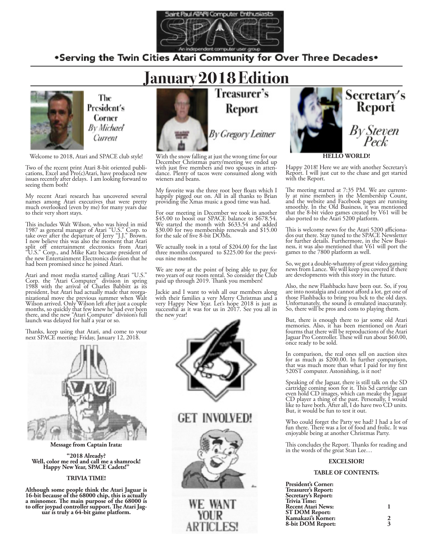

# .Serving the Twin Cities Atari Community for Over Three Decades.



The President's Corner **By Michael** Current

Welcome to 2018, Atari and SPACE club style!

Two of the recent print Atari 8-bit oriented publi- cations, Excel and Pro(c)Atari, have produced new issues recently after delays. I am looking forward to seeing them both!

My recent Atari research has uncovered several names among Atari executives that were pretty much overlooked (even by me) for many years due to their very short stays.

This includes Walt Wilson, who was hired in mid 1987 as general manager of Atari "U.S." Corp. to take over after the departure of Jerry "J.J." Brown. I now believe this was also the moment that Atari split off entertainment electronics from Atari "U.S." Corp., and Mike Katz became president of the new Entertainment Electronics division that he had been promised since he joined Atari.

Atari and most media started calling Atari "U.S." Corp. the "Atari Computer" division in spring 1988 with the arrival of Charles Babbitt as its president, but Atari had actually made that reorga- nizational move the previous summer when Walt Wilson arrived. Only Wilson left after just a couple months, so quickly that few knew he had ever been there, and the new "Atari Computer" division's full launch was delayed for half a year or so.

Thanks, keep using that Atari, and come to your next SPACE meeting: Friday, January 12, 2018.



**Message from Captain Irata:**

**"2018 Already? Well, color me red and call me a shamrock! Happy New Year, SPACE Cadets!"**

#### **TRIVIA TIME!**

**Although some people think the Atari Jaguar is 16-bit because of the 68000 chip, this is actually a misnomer. The main purpose of the 68000 is to offer joypad controller support. The Atari Jag- uar is truly a 64-bit game platform.**



With the snow falling at just the wrong time for our December Christmas party/meeting we ended up dance. Plenty of tacos were consumed along with wieners and beans.

My favorite was the three root beer floats which I happily pigged out on. All in all thanks to Brian providing the Xmas music a good time was had.

For our meeting in December we took in another \$45.00 to boost our SPACE balance to \$678.54. We started the month with \$633.54 and added \$30.00 for two membership renewals and \$15.00 for the sale of five 8-bit DOMs.

We actually took in a total of \$204.00 for the last three months compared to \$225.00 for the previ- ous nine months.

We are now at the point of being able to pay for two years of our room rental. So consider the Club paid up through 2019. Thank you members!

Jackie and I want to wish all our members along with their families a very Merry Christmas and a very Happy New Year. Let's hope 2018 is just as successful as it was for us in 2017. See you all in the new year!





**HELLO WORLD!**

Happy 2018! Here we are with another Secretary's Report. I will just cut to the chase and get started with the Report.

The meeting started at 7:35 PM. We are current-<br>ly at nine members in the Membership Count, and the website and Facebook pages are running smoothly. In the Old Business, it was mentioned that the 8-bit video games created by V61 will be also ported to the Atari 5200 platform.

This is welcome news for the Atari 5200 afficiona-<br>dos out there. Stay tuned to the SPACE Newsletter<br>for further details. Furthermore, in the New Busifor further details. Furthermore, in the New Busi- ness, it was also mentioned that V61 will port the games to the 7800 platform as well.

So, we got a double-whammy of great video gaming news from Lance. We will keep you covered if there are developments with this story in the future.

Also, the new Flashbacks have been out. So, if you are into nostalgia and cannot afford a lot, get one of those Flashbacks to bring you bck to the old days. Unfortunately, the sound is emulated inaccurately. So, there will be pros and cons to playing them.

But, there is enough there to jar some old Atari memories. Also, it has been mentioned on Atari fourms that there will be reproductions of the Atari Jaguar Pro Controller. These will run about \$60.00, once ready to be sold.

In comparison, the real ones sell on auction sites for as much as \$200.00. In further comparison, that was much more than what I paid for my first 520ST computer. Astonishing, is it not?

Speaking of the Jaguar, there is still talk on the SD cartridge coming soon for it. This Sd cartridge can even hold CD images, which can meake the Jaguar CD player a thing of the past. Personally, I would like to have both. After all, I do have two CD units. But, it would be fun to test it out.

Who could forget the Party we had? I had a lot of fun there. There was a lot of food and frolic. It was enjoyable being at another Christmas Party.

This concludes the Report. Thanks for reading and in the words of the great Stan Lee…

#### **EXCELSIOR!**

#### **TABLE OF CONTENTS:**

| <b>President's Corner:</b> |   |
|----------------------------|---|
| Treasurer's Report:        |   |
| Secretary's Report:        |   |
| <b>Trivia Time:</b>        |   |
| <b>Recent Atari News:</b>  |   |
| <b>ST DOM Report:</b>      |   |
| Kamakazi's Korner:         | 2 |
| 8-bit DOM Report:          | 3 |
|                            |   |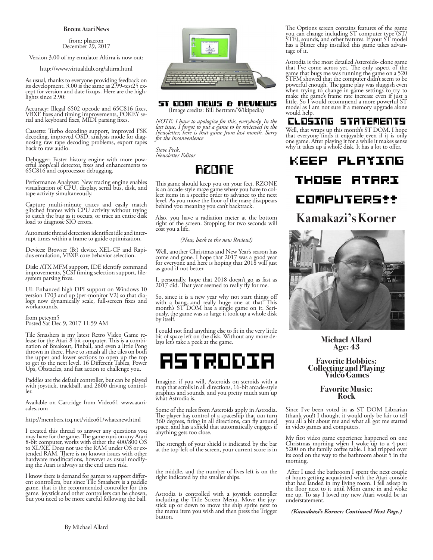#### **Recent Atari News**

from: phaeron December 29, 2017

Version 3.00 of my emulator Altirra is now out:

http://www.virtualdub.org/altirra.html

As usual, thanks to everyone providing feedback on its development. 3.00 is the same as 2.99-test25 ex-<br>cept for version and date fixups. Here are the high-<br>lights since 2.90:

Accuracy: Illegal 6502 opcode and 65C816 fixes, VBXE fixes and timing improvements, POKEY se- rial and keyboard fixes, MIDI parsing fixes.

Cassette: Turbo decoding support, improved FSK decoding, improved OSD, analysis mode for diag-<br>nosing raw tape decoding problems, export tapes back to raw audio.

Debugger: Faster history engine with more pow- erful loop/call detector, fixes and enhancements to 65C816 and coprocessor debugging.

Performance Analyzer: New tracing engine enables visualization of CPU, display, serial bus, disk, and tape activity simultaneously.

Capture multi-minute traces and easily match glitched frames with CPU activity without trying to catch the bug as it occurs, or trace an entire disk load to diagnose SIO errors.

Automatic thread detection identifies idle and inter- rupt times within a frame to guide optimization.

Devices: Browser (B:) device, XEL-CF and Rapi- dus emulation, VBXE core behavior selection.

Disk: ATX MFM support, IDE identify command improvements, SCSI timing selection support, file-<br>system parsing fixes.

UI: Enhanced high DPI support on Windows 10 version 1703 and up (per-monitor V2) so that dia- logs now dynamically scale, full-screen fixes and workarounds.

from peteym5 Posted Sat Dec 9, 2017 11:59 AM

Tile Smashers is my latest Retro Video Game re- lease for the Atari 8-bit computer. This is a combi- nation of Breakout, Pinball, and even a little Pong thrown in there. Have to smash all the tiles on both the upper and lower sections to open up the top to get to the next level. 16 Different Tables, Power Ups, Obstacles, and fast action to challenge you.

Paddles are the default controller, but can be played with joystick, trackball, and 2600 driving control-<br>ler.

Available on Cartridge from Video61 www.atari- sales.com

http://members.tcq.net/video61/whatsnew.html

I created this thread to answer any questions you may have for the game. The game runs on any Atari 8-bit computer, works with either the 400/800 OS to XL/XE. Does not use the RAM under OS or ex- tended RAM. There is no known issues with other hardware modifications, however as usual modify- ing the Atari is always at the end users risk.

I know there is demand for games to support differ- ent controllers, but since Tile Smashers is a paddle game, that is the recommended controller for this game. Joystick and other controllers can be chosen, but you need to be more careful following the ball.



#### ST DOM NEWS & REVIEWS (Image credits: Bill Bertram/Wikipedia)

*NOTE: I have to apologize for this, everybody. In the last issue, I forgot to put a game to be reviewed in the Newsletter, here is that game from last month. Sorry for the inconvenience*

*Steve Peck, Newsletter Editor*

# **RZONE**

This game should keep you on your feet. RZONE is an arcade-style maze game where you have to col- lect items in a specific order to advance to the next level. As you move the floor of the maze disappears behind you meaning you can't backtrack.

Also, you have a radiation meter at the bottom right of the screen. Stopping for two seconds will cost you a life.

*(Now, back to the new Review!)*

Well, another Christmas and New Year's season has come and gone. I hope that 2017 was a good year for everyone and here is hoping that 2018 will just as good if not better.

I, personally, hope that 2018 doesn't go as fast as  $2017$  did. That year seemed to really fly for me.

So, since it is a new year why not start things off with a bang...and really huge one at that! This month's ST DOM has a single game on it. Seri- ously, the game was so large it took up a whole disk by itself.

I could not find anything else to fit in the very little bit of space left on the disk. Without any more de- lays let's take a peek at the game.



Imagine, if you will, Asteroids on steroids with a map that scrolls in all directions, 16-bit arcade-style graphics and sounds, and you pretty much sum up what Astrodia is.

Some of the rules from Asteroids apply in Astrodia. The player has control of a spaceship that can turn 360 degrees, firing in all directions, can fly around space, and has a shield that automatically engages if anything gets too close.

The strength of your shield is indicated by the bar at the top-left of the screen, your current score is in

the middle, and the number of lives left is on the right indicated by the smaller ships.

Astrodia is controlled with a joystick controller stick up or down to move the ship sprite next to the menu item you wish and then press the Trigger button.

The Options screen contains features of the game you can change including ST computer type (ST/ STE), sounds, and other features. If your ST model has a Blitter chip installed this game takes advan- tage of it.

Astrodia is the most detailed Asteroids- clone game that I've come across yet. The only aspect of the game that bugs me was running the game on a 520 STFM showed that the computer didn't seem to be powerful enough. The game play was sluggish even when trying to change in-game settings to try to make the game's frame rate increase even if just a little. So I would recommend a more powerful ST model as I am not sure if a memory upgrade alone would help.

# CLOSING STATEMENTS

Well, that wraps up this month's ST DOM. I hope that everyone finds it enjoyable even if it is only one game. After playing it for a while it makes sense why it takes up a whole disk. It has a lot to offer.

KEEP PLAYING THOSE **ATARI** COMPUTERStt **Kamakazi's Korner**



**Michael Allard Age: 43**

**Favorite Hobbies: Collecting and Playing Video Games**

#### **Favorite Music: Rock**

Since I've been voted in as ST DOM Librarian (thank you!) I thought it would only be fair to tell you all a bit about me and what all got me started in video games and computers.

My first video game experience happened on one Christmas morning when I woke up to a 4-port 5200 on the family coffee table. I had tripped over its cord on the way to the bathroom about 5 in the morning.

 After I used the bathroom I spent the next couple of hours getting acquainted with the Atari console that had landed in my living room. I fell asleep in the floor next to it until Mom came in and woke me up. To say I loved my new Atari would be an understatement.

*(Kamakazi's Korner: Continued Next Page.)*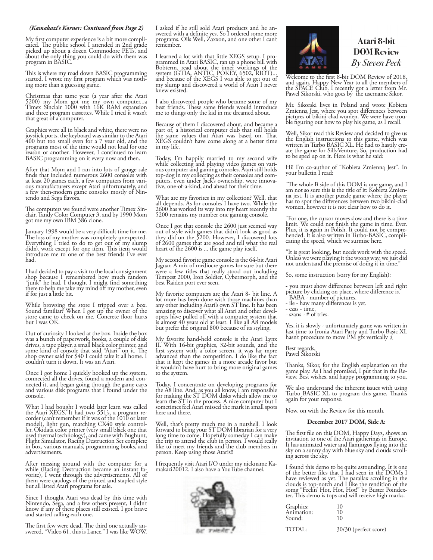#### *(Kamakazi's Korner: Continued from Page 2)*

My first computer experience is a bit more compli- cated. The public school I attended in 2nd grade picked up about a dozen Commodore PETs, and about the only thing you could do with them was program in BASIC.

This is where my road down BASIC programming started. I wrote my first program which was noth- ing more than a guessing game.

Christmas that same year (a year after the Atari 5200) my Mom got me my own computer...a Timex Sinclair 1000 with 16K RAM expansion and three program cassettes. While I tried it wasn't that great of a computer.

Graphics were all in black and white, there were no joystick ports, the keyboard was similar to the Atari 400 but too small even for a 7 year old, and the programs most of the time would not load for one reason or another. However, I continued to learn BASIC programming on it every now and then.

After that Mom and I ran into lots of garage sale finds that included numerous 2600 consoles with at least 20 games each, a few computers from various manufacturers except Atari unfortunately, and a few then-modern game consoles mostly of Nin- tendo and Sega flavors.

The computers we found were another Timex Sin- clair, Tandy Color Computer 3, and by 1990 Mom got me my own IBM 386 clone.

January 1998 would be a very difficult time for me. The loss of my mother was completely unexpected. Everything I tried to do to get out of my slump didn't work except for one item. This item would introduce me to one of the best friends I've ever had.

I had decided to pay a visit to the local consignment shop because I remembered how much random "junk" he had. I thought I might find something there to help me take my mind off my mother, even if for just a little bit.

While browsing the store I tripped over a box. Sound familiar? When I got up the owner of the store came to check on me. Concrete floor hurts but I was OK.

Out of curiosity I looked at the box. Inside the box was a bunch of paperwork, books, a couple of disk drives, a tape player, a small black color printer, and some kind of console that said "Atari" on it. The shop owner said for \$40 I could take it all home. I couldn't turn it down. It was an Atari.

Once I got home I quickly hooked up the system, connected all the drives, found a modem and conconnected all the drives, found a modem and con- nected it, and began going through the game carts and various disk programs that I found under the console.

What I had bought I would later learn was called the Atari XEGS. It had two 551's, a program re- corder (can't remember if it was of the 1010 or later model), light gun, matching CX40 style control-<br>ler, Okidata color printer (very small black one that used thermal technology), and came with Bughunt, Flight Simulator, Racing Destruction Set complete in box, various manuals, programming books, and advertisements.

After messing around with the computer for a while (Racing Destruction became an instant favorite), I went through the advertisements. All of them were catalogs of the printed and stapled style but all listed Atari programs for sale.

Since I thought Atari was dead by this time with Nintendo, Sega, and a few others present, I didn't know if any of these places still existed. I got brave and started calling each one.

The first few were dead. The third one actually an- swered, "Video 61, this is Lance." I was like WOW.

I asked if he still sold Atari products and he an- swered with a definite yes. So I ordered some more programs. Oils Well, Zaxxon, and one other I can't remember.

I learned a lot with that little XEGS setup. I pro- grammed in Atari BASIC, ran up a phone bill with Bobterm, read about the inner workings of the system (GTIA, ANTIC, POKEY, 6502, RIOT)... and because of the XEGS I was able to get out of my slump and discovered a world of Atari I never knew existed.

I also discovered people who became some of my best friends. These same friends would introduce me to things only the kid in me dreamed about.

Because of them I discovered about, and became a part of, a historical computer club that still holds the same values that Atari was based on. That XEGS couldn't have come along at a better time in my life.

Today, I'm happily married to my second wife while collecting and playing video games on vari- ous computer and gaming consoles. Atari still holds top-dog in my collecting as their consoles and com- puters, even under Jack's ownership, were innova- tive, one-of-a-kind, and ahead for their time.

What are my favorites in my collection? Well, that all depends. As for consoles I have two. While the 2600 has worked its way into my heart recently the 5200 remains my number one gaming console.

Once I got that console the 2600 just seemed way out of style with games that didn't look as good as they did on the 5200. However, I discovered lots of 2600 games that are good and tell what the real heart of the 2600 is ... the game play itself.

My second favorite game console is the 64-bit Atari Jaguar. A mix of mediocre games for sure but there were a few titles that really stood out including Tempest 2000, Iron Soldier, Cybermorph, and the best Raiden port ever seen.

My favorite computers are the Atari 8- bit line. A lot more has been done with those machines than any other including Atari's own ST line. It has been amazing to discover what all Atari and other devel- opers have pulled off with a computer system that is almost 40 years old at least. I like all A8 models but prefer the original 800 because of its styling.

My favorite hand-held console is the Atari Lynx II. With 16-bit graphics, 32-bit sounds, and the first system with a color screen, it was far more advanced than the competition. I do like the fact that it kept the games in a more arcade favor but it wouldn't have hurt to bring more original games to the system.

Today, I concentrate on developing programs for the A8 line. And, as you all know, I am responsible for making the ST DOM disks which allow me to learn the ST in the process. A nice computer but I sometimes feel Atari missed the mark in small spots here and there.

Well, that's pretty much me in a nutshell. I look forward to being your ST DOM librarian for a very long time to come. Hopefully someday I can make the trip to attend the club in person. I would really like to meet my friends and the club members in person. Keep using those Ataris!!

I frequently visit Atari I/O under my nickname Ka- makazi20012. I also have a YouTube channel.





## Atari 8-bit **DOM Review** By Steven Peck

Welcome to the first 8-bit DOM Review of 2018, and again, Happy New Year to all the members of the SPACE Club. I recently got a letter from Mr. Pawel Sikorski, who goes by the username Sikor.

Mr. Sikorski lives in Poland and wrote Kobieta Zmienną Jest, where you spot differences between pictures of bikini-clad women. We were have trou- ble figuring out how to play his game, as I recall.

Well, Sikor read this Review and decided to give us the English instructions to this game, which was written in Turbo BASIC XL. He had to hastily create the game for SillyVenture. So, production had to be sped up on it. Here is what he said:

Hi! I'm co-author of "Kobieta Zmienną Jest". In your bulletin I read:

"The whole B side of this DOM is one game, and I na jest. It is another puzzle game where the player has to spot the differences between two bikini-clad women, however it is not clear how to do it.

"For one, the cursor moves slow and there is a time limit. We could not finish the game in time. Ever. Plus, it is again in Polish. It could not be comprehended. It is also written in Turbo-BASIC, complicating the speed, which we surmise here.

"It is great looking, but needs work with the speed. Unless we were playing it the wrong way, we just did not understand the premise of doing it in time."

So, some instruction (sorry for my English):

- you must show difference between left and right picture by clicking on place, where difference is. - BABA - number of pictures.

- ile haw many differences is yet.
- czas time.
- szans # of tries.

Yes, it is slowly - unfortunately game was written in fast time to Ironia Atari Party and Turbo Basic XL hasn't procedure to move PM gfx vertically ;(

Best regards, Pawel Sikorski

Thanks, Sikor, for the English explanation on the view. Best wishes, and happy programming to you.

We also understand the inherent issues with using Turbo BASIC XL to program this game. Thanks again for your response.

Now, on with the Review for this month.

#### **December 2017 DOM, Side A:**

The first file on this DOM, Happy Days, shows an invitation to one of the Atari gatherings in Europe. It has animated water and flamingos flying into the sky on a sunny day with blue sky and clouds scroll- ing across the sky.

I found this demo to be quite astounding. It is one of the better files that  $I$  had seen in the DOMs I have reviewed as yet. The parallax scrolling in the clouds is top-notch and I like the rendition of the somg "Feelin' Hot, Hot, Hot!" by Buster Poindex-<br>ter. This demo is tops and will receive high marks.

| Graphics:<br>Animation:<br>Sound: | 10<br>10<br>10 |  |
|-----------------------------------|----------------|--|
| $\overline{\phantom{a}}$          | -----          |  |

TOTAL: 30/30 (perfect score)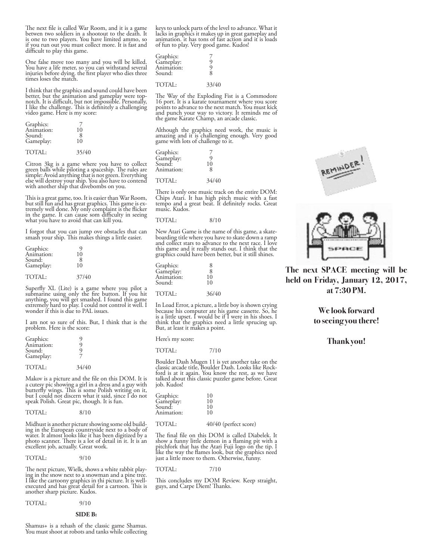The next file is called War Room, and it is a game betwen two soldiers in a shootout to the death. It is one to two players. You have limited ammo, so if you run out you must collect more. It is fast and difficult to play this game.

One false move too many and you will be killed. You have a life meter, so you can withstand several injuries before dying. the first player who dies three times loses the match.

I think that the graphics and sound could have been better, but the animation and gameplay were topnotch. It is difficult, but not impossible. Personally, I like the challenge. This is definitely a challenging video game. Here is my score:

| Graphics:  |       |
|------------|-------|
| Animation: | 10    |
| Sound:     | 8     |
| Gameplay:  | 10    |
| TOTAL:     | 35/40 |

Citron 3kg is a game where you have to collect green balls while piloting a spaceship. The rules are simple: Avoid anything that is not green. Everything else will destroy your ship. You also have to contend with another ship that divebombs on you.

This is a great game, too. It is easier than War Room, but still fun and has great graphics. This game is ex- tremely well done. My only complaint is the flicker in the game. It can cause som difficulty in seeing what you have to avoid that can kill you.

I forgot that you can jump ove obstacles that can smash your ship. This makes things a little easier.

| Graphics:  |       |  |
|------------|-------|--|
| Animation: | 10    |  |
| Sound:     |       |  |
| Gameplay:  | 10    |  |
|            |       |  |
| TOTAL:     | 37/40 |  |

Superfly XL (Lite) is a game where you pilot a submarine using only the fire button. If you hit anything, you will get smashed. I found this game extremely hard to play. I could not control it well. I wonder if this is due to PAL issues.

I am not so sure of this. But, I think that is the problem. Here is the score:

| Graphics:  |  |
|------------|--|
| Animation: |  |
| Sound:     |  |
| Gameplay:  |  |
|            |  |

TOTAL: 34/40

Makov is a picture and the file on this DOM. It is a cutesy pic showing a girl in a dress and a guy with butterfly wings. This is some Polish writing on it, but I could not discern what it said, since I do not speak Polish. Great pic, though. It is fun.

| TOTAL: | 8/10 |
|--------|------|
|        |      |

Midhust is another picture showing some old build- ing in the European countryside next to a body of water. It almost looks like it has been digitized by a photo scanner. There is a lot of detail in it. It is an excellent job, actually. Great work.

TOTAL: 9/10

The next picture, Wielk, shows a white rabbit play- ing in the snow next to a snowman and a pine tree. I like the cartoony graphics in thi picture. It is wellexecuted and has great detail for a cartoon. This is another sharp picture. Kudos.

TOTAL: 9/10

#### **SIDE B:**

Shamus+ is a rehash of the classic game Shamus. You must shoot at robots and tanks while collecting

keys to unlock parts of the level to advance. What it lacks in graphics it makes up in great gameplay and animation. it has tons of fast action and it is loads of fun to play. Very good game. Kudos!

| Graphics:  |   |
|------------|---|
| Gameplay:  |   |
| Animation: |   |
| Sound:     | 8 |
|            |   |

TOTAL: 33/40

The Way of the Exploding Fist is a Commodore 16 port. It is a karate tournament where you score points to advance to the next match. You must kick and punch your way to victory. It reminds me of the game Karate Champ, an arcade classic.

Although the graphics need work, the music is amazing and it is challenging enough. Very good game with lots of challenge to it.

| Graphics:  |    |
|------------|----|
| Gameplay:  |    |
| Sound:     | 10 |
| Animation: | 8  |

TOTAL: 34/40

There is only one music track on the entire DOM: Chips Atari. It has high pitch music with a fast tempo and a great beat. It definitely rocks. Great music. Kudos.

#### TOTAL: 8/10

New Atari Game is the name of this game, a skate- boarding title where you have to skate down a ramp and collect stars to advance to the next race. I love this game and it really stands out. I think that the graphics could have been better, but it still shines.

| Graphics:  | 8  |
|------------|----|
| Gameplay:  | 8  |
| Animation: | 10 |
| Sound:     | 10 |
|            |    |

#### TOTAL: 36/40

In Load Error, a picture, a little boy is shown crying because his computer ate his game cassette. So, he is a little upset. I would be if I were in his shoes. I think that the graphics need a little sprucing up. But, at least it makes a point.

Here's my score:

#### TOTAL: 7/10

Boulder Dash Mugen 11 is yet another take on the classic arcade title, Boulder Dash. Looks like Rock- ford is at it again. You know the rest, as we have talked about this classic puzzler game before. Great job. Kudos!

| Graphics:  | 10 |  |
|------------|----|--|
| Gameplay:  | 10 |  |
| Sound:     | 10 |  |
| Animation: | 10 |  |
|            |    |  |

#### TOTAL:  $40/40$  (perfect score)

The final file on this DOM is called Diabelek. It show a funny little demon in a flaming pit with a pitchfork that has the Atari Fuji logo on the tip. I like the way the flames look, but the graphics need just a little more to them. Otherwise, funny.

#### TOTAL: 7/10

This concludes my DOM Review. Keep straight, guys, and Carpe Diem! Thanks.





**The next SPACE meeting will be held on Friday, January 12, 2017, at 7:30 PM.** 

> **We look forward to seeing you there!**

#### **Thank you!**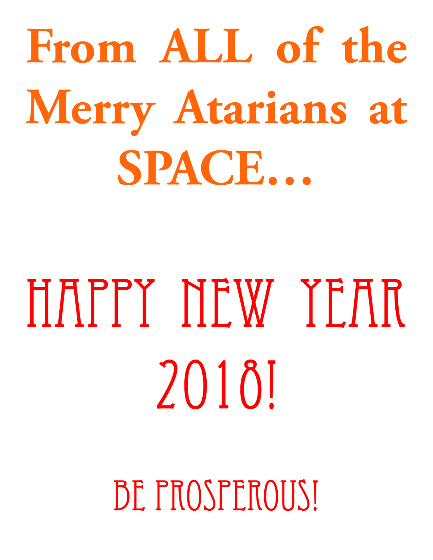# From ALL of the **Merry Atarians at SPACE…**

# HAPPY NEW YEAR 2018!

BE PROSPEROUS!